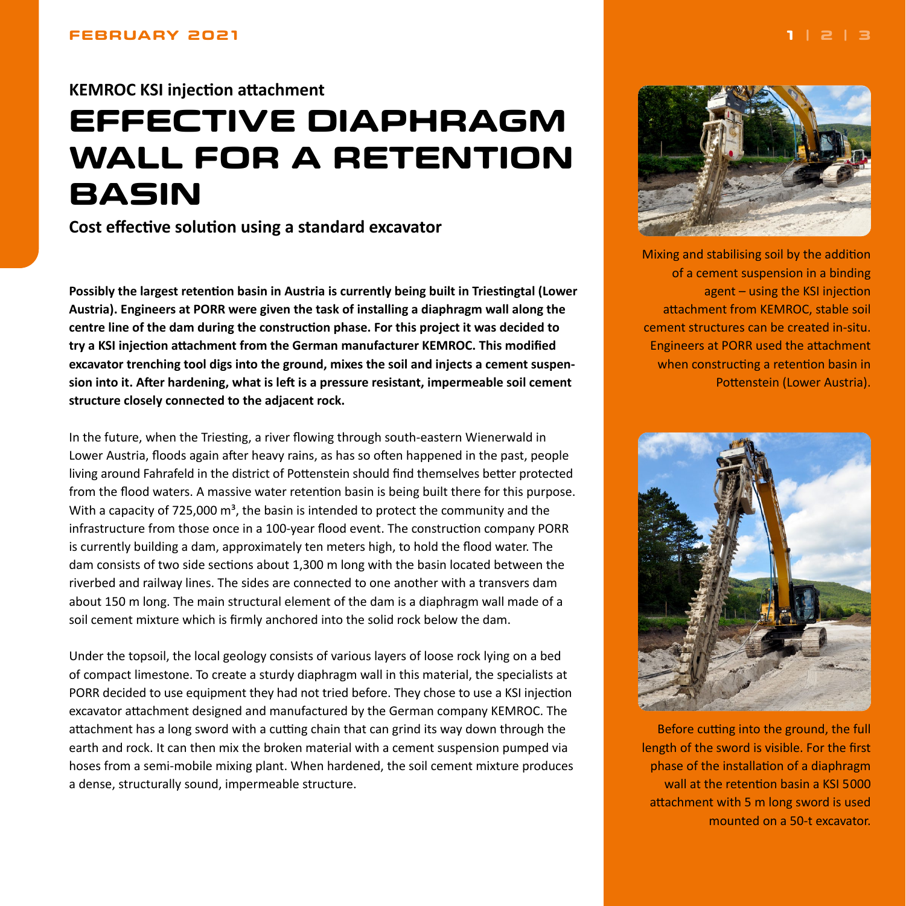# <span id="page-0-0"></span>**KEMROC KSI injection attachment**

# **EFFECTIVE DIAPHRAGM WALL FOR A RETENTION BASIN**

**Cost effective solution using a standard excavator**

**Possibly the largest retention basin in Austria is currently being built in Triestingtal (Lower Austria). Engineers at PORR were given the task of installing a diaphragm wall along the centre line of the dam during the construction phase. For this project it was decided to try a KSI injection attachment from the German manufacturer KEMROC. This modified excavator trenching tool digs into the ground, mixes the soil and injects a cement suspension into it. After hardening, what is left is a pressure resistant, impermeable soil cement structure closely connected to the adjacent rock.**

In the future, when the Triesting, a river flowing through south-eastern Wienerwald in Lower Austria, floods again after heavy rains, as has so often happened in the past, people living around Fahrafeld in the district of Pottenstein should find themselves better protected from the flood waters. A massive water retention basin is being built there for this purpose. With a capacity of 725,000  $\text{m}^3$ , the basin is intended to protect the community and the infrastructure from those once in a 100-year flood event. The construction company PORR is currently building a dam, approximately ten meters high, to hold the flood water. The dam consists of two side sections about 1,300 m long with the basin located between the riverbed and railway lines. The sides are connected to one another with a transvers dam about 150 m long. The main structural element of the dam is a diaphragm wall made of a soil cement mixture which is firmly anchored into the solid rock below the dam.

Under the topsoil, the local geology consists of various layers of loose rock lying on a bed of compact limestone. To create a sturdy diaphragm wall in this material, the specialists at PORR decided to use equipment they had not tried before. They chose to use a KSI injection excavator attachment designed and manufactured by the German company KEMROC. The attachment has a long sword with a cutting chain that can grind its way down through the earth and rock. It can then mix the broken material with a cement suspension pumped via hoses from a semi-mobile mixing plant. When hardened, the soil cement mixture produces a dense, structurally sound, impermeable structure.



Mixing and stabilising soil by the addition of a cement suspension in a binding agent – using the KSI injection attachment from KEMROC, stable soil cement structures can be created in-situ. Engineers at PORR used the attachment when constructing a retention basin in Pottenstein (Lower Austria).



Before cutting into the ground, the full length of the sword is visible. For the first phase of the installation of a diaphragm wall at the retention basin a KSI 5000 attachment with 5 m long sword is used mounted on a 50-t excavator.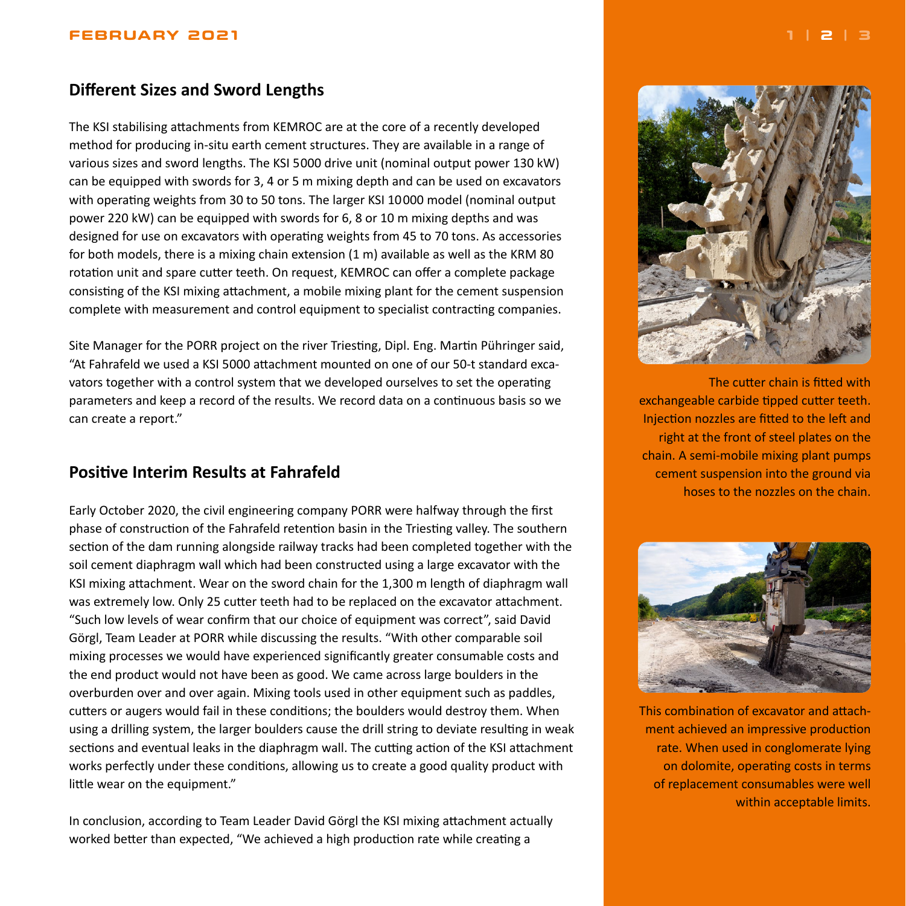#### <span id="page-1-0"></span>**FEBRUARY 2021 [1](#page-0-0) | 2 | [3](#page-2-0)**

# **Different Sizes and Sword Lengths**

The KSI stabilising attachments from KEMROC are at the core of a recently developed method for producing in-situ earth cement structures. They are available in a range of various sizes and sword lengths. The KSI 5000 drive unit (nominal output power 130 kW) can be equipped with swords for 3, 4 or 5 m mixing depth and can be used on excavators with operating weights from 30 to 50 tons. The larger KSI 10000 model (nominal output power 220 kW) can be equipped with swords for 6, 8 or 10 m mixing depths and was designed for use on excavators with operating weights from 45 to 70 tons. As accessories for both models, there is a mixing chain extension (1 m) available as well as the KRM 80 rotation unit and spare cutter teeth. On request, KEMROC can offer a complete package consisting of the KSI mixing attachment, a mobile mixing plant for the cement suspension complete with measurement and control equipment to specialist contracting companies.

Site Manager for the PORR project on the river Triesting, Dipl. Eng. Martin Pühringer said, "At Fahrafeld we used a KSI 5000 attachment mounted on one of our 50-t standard excavators together with a control system that we developed ourselves to set the operating parameters and keep a record of the results. We record data on a continuous basis so we can create a report."

## **Positive Interim Results at Fahrafeld**

Early October 2020, the civil engineering company PORR were halfway through the first phase of construction of the Fahrafeld retention basin in the Triesting valley. The southern section of the dam running alongside railway tracks had been completed together with the soil cement diaphragm wall which had been constructed using a large excavator with the KSI mixing attachment. Wear on the sword chain for the 1,300 m length of diaphragm wall was extremely low. Only 25 cutter teeth had to be replaced on the excavator attachment. "Such low levels of wear confirm that our choice of equipment was correct", said David Görgl, Team Leader at PORR while discussing the results. "With other comparable soil mixing processes we would have experienced significantly greater consumable costs and the end product would not have been as good. We came across large boulders in the overburden over and over again. Mixing tools used in other equipment such as paddles, cutters or augers would fail in these conditions; the boulders would destroy them. When using a drilling system, the larger boulders cause the drill string to deviate resulting in weak sections and eventual leaks in the diaphragm wall. The cutting action of the KSI attachment works perfectly under these conditions, allowing us to create a good quality product with little wear on the equipment."

In conclusion, according to Team Leader David Görgl the KSI mixing attachment actually worked better than expected, "We achieved a high production rate while creating a



cement suspension into the ground via hoses to the nozzles on the chain.



This combination of excavator and attachment achieved an impressive production rate. When used in conglomerate lying on dolomite, operating costs in terms of replacement consumables were well within acceptable limits.